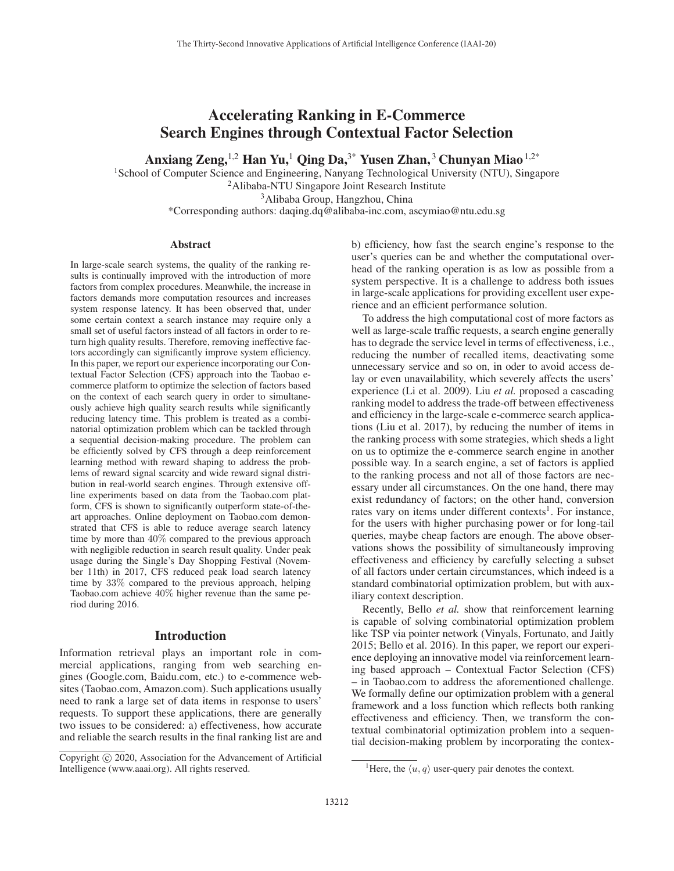# Accelerating Ranking in E-Commerce Search Engines through Contextual Factor Selection

Anxiang Zeng,<sup>1,2</sup> Han Yu,<sup>1</sup> Qing Da,<sup>3\*</sup> Yusen Zhan,<sup>3</sup> Chunyan Miao<sup>1,2\*</sup>

<sup>1</sup>School of Computer Science and Engineering, Nanyang Technological University (NTU), Singapore 2Alibaba-NTU Singapore Joint Research Institute 3Alibaba Group, Hangzhou, China

\*Corresponding authors: daqing.dq@alibaba-inc.com, ascymiao@ntu.edu.sg

#### Abstract

In large-scale search systems, the quality of the ranking results is continually improved with the introduction of more factors from complex procedures. Meanwhile, the increase in factors demands more computation resources and increases system response latency. It has been observed that, under some certain context a search instance may require only a small set of useful factors instead of all factors in order to return high quality results. Therefore, removing ineffective factors accordingly can significantly improve system efficiency. In this paper, we report our experience incorporating our Contextual Factor Selection (CFS) approach into the Taobao ecommerce platform to optimize the selection of factors based on the context of each search query in order to simultaneously achieve high quality search results while significantly reducing latency time. This problem is treated as a combinatorial optimization problem which can be tackled through a sequential decision-making procedure. The problem can be efficiently solved by CFS through a deep reinforcement learning method with reward shaping to address the problems of reward signal scarcity and wide reward signal distribution in real-world search engines. Through extensive offline experiments based on data from the Taobao.com platform, CFS is shown to significantly outperform state-of-theart approaches. Online deployment on Taobao.com demonstrated that CFS is able to reduce average search latency time by more than 40% compared to the previous approach with negligible reduction in search result quality. Under peak usage during the Single's Day Shopping Festival (November 11th) in 2017, CFS reduced peak load search latency time by 33% compared to the previous approach, helping Taobao.com achieve 40% higher revenue than the same period during 2016.

## Introduction

Information retrieval plays an important role in commercial applications, ranging from web searching engines (Google.com, Baidu.com, etc.) to e-commence websites (Taobao.com, Amazon.com). Such applications usually need to rank a large set of data items in response to users' requests. To support these applications, there are generally two issues to be considered: a) effectiveness, how accurate and reliable the search results in the final ranking list are and b) efficiency, how fast the search engine's response to the user's queries can be and whether the computational overhead of the ranking operation is as low as possible from a system perspective. It is a challenge to address both issues in large-scale applications for providing excellent user experience and an efficient performance solution.

To address the high computational cost of more factors as well as large-scale traffic requests, a search engine generally has to degrade the service level in terms of effectiveness, i.e., reducing the number of recalled items, deactivating some unnecessary service and so on, in oder to avoid access delay or even unavailability, which severely affects the users' experience (Li et al. 2009). Liu *et al.* proposed a cascading ranking model to address the trade-off between effectiveness and efficiency in the large-scale e-commerce search applications (Liu et al. 2017), by reducing the number of items in the ranking process with some strategies, which sheds a light on us to optimize the e-commerce search engine in another possible way. In a search engine, a set of factors is applied to the ranking process and not all of those factors are necessary under all circumstances. On the one hand, there may exist redundancy of factors; on the other hand, conversion rates vary on items under different contexts<sup>1</sup>. For instance, for the users with higher purchasing power or for long-tail queries, maybe cheap factors are enough. The above observations shows the possibility of simultaneously improving effectiveness and efficiency by carefully selecting a subset of all factors under certain circumstances, which indeed is a standard combinatorial optimization problem, but with auxiliary context description.

Recently, Bello *et al.* show that reinforcement learning is capable of solving combinatorial optimization problem like TSP via pointer network (Vinyals, Fortunato, and Jaitly 2015; Bello et al. 2016). In this paper, we report our experience deploying an innovative model via reinforcement learning based approach – Contextual Factor Selection (CFS) – in Taobao.com to address the aforementioned challenge. We formally define our optimization problem with a general framework and a loss function which reflects both ranking effectiveness and efficiency. Then, we transform the contextual combinatorial optimization problem into a sequential decision-making problem by incorporating the contex-

Copyright  $\odot$  2020, Association for the Advancement of Artificial Intelligence (www.aaai.org). All rights reserved.

<sup>&</sup>lt;sup>1</sup>Here, the  $\langle u, q \rangle$  user-query pair denotes the context.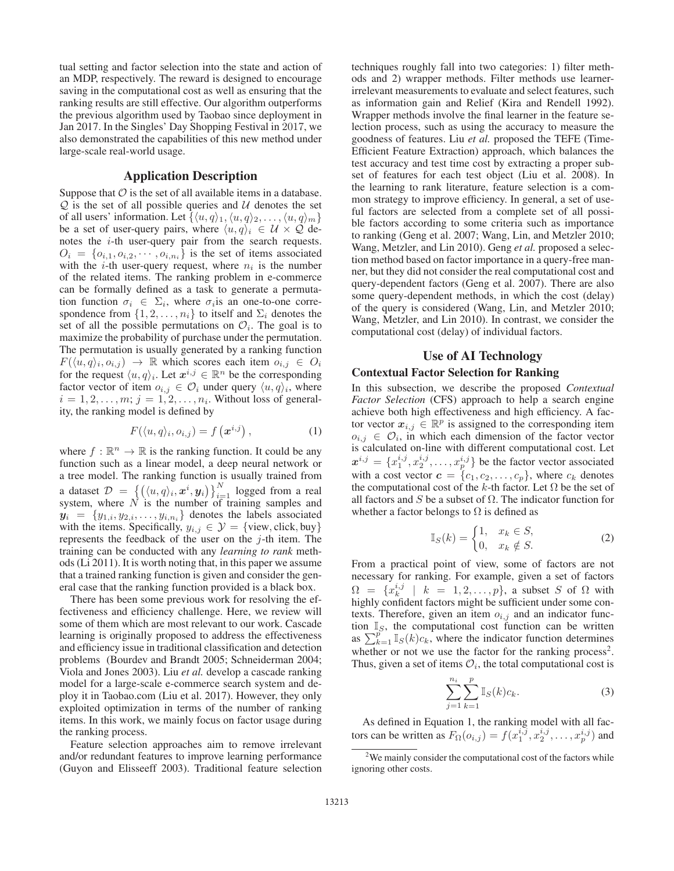tual setting and factor selection into the state and action of an MDP, respectively. The reward is designed to encourage saving in the computational cost as well as ensuring that the ranking results are still effective. Our algorithm outperforms the previous algorithm used by Taobao since deployment in Jan 2017. In the Singles' Day Shopping Festival in 2017, we also demonstrated the capabilities of this new method under large-scale real-world usage.

## Application Description

Suppose that  $\mathcal O$  is the set of all available items in a database.  $Q$  is the set of all possible queries and  $U$  denotes the set of all users' information. Let  $\{\langle u, q \rangle_1, \langle u, q \rangle_2, \dots, \langle u, q \rangle_m\}$ be a set of user-query pairs, where  $\langle u, q \rangle_i \in \mathcal{U} \times \mathcal{Q}$  denotes the  $i$ -th user-query pair from the search requests.  $O_i = \{o_{i,1}, o_{i,2}, \cdots, o_{i,n_i}\}\$ is the set of items associated with the *i*-th user-query request, where  $n_i$  is the number of the related items. The ranking problem in e-commerce can be formally defined as a task to generate a permutation function  $\sigma_i \in \Sigma_i$ , where  $\sigma_i$  is an one-to-one correspondence from  $\{1, 2, \ldots, n_i\}$  to itself and  $\Sigma_i$  denotes the set of all the possible permutations on  $\mathcal{O}_i$ . The goal is to maximize the probability of purchase under the permutation. The permutation is usually generated by a ranking function  $F(\langle u, q \rangle_i, o_{i,j}) \rightarrow \mathbb{R}$  which scores each item  $o_{i,j} \in O_i$ for the request  $\langle u, q \rangle_i$ . Let  $x^{i,j} \in \mathbb{R}^n$  be the corresponding factor vector of item  $o_{i,j} \in \mathcal{O}_i$  under query  $\langle u, q \rangle_i$ , where  $i = 1, 2, \ldots, m; j = 1, 2, \ldots, n_i$ . Without loss of generality, the ranking model is defined by

$$
F(\langle u, q \rangle_i, o_{i,j}) = f(\mathbf{x}^{i,j}), \qquad (1)
$$

where  $f : \mathbb{R}^n \to \mathbb{R}$  is the ranking function. It could be any function such as a linear model, a deep neural network or a tree model. The ranking function is usually trained from a dataset  $\mathcal{D} = \{ (\langle u, q \rangle_i, \mathbf{x}^i, \mathbf{y}_i) \}_{i=1}^N$  logged from a real system, where N is the number of training samples and  $y_i = \{y_{1,i}, y_{2,i}, \ldots, y_{i,n_i}\}\$  denotes the labels associated with the items. Specifically,  $y_{i,j} \in \mathcal{Y} = \{$  view, click, buy} represents the feedback of the user on the  $j$ -th item. The training can be conducted with any *learning to rank* methods (Li 2011). It is worth noting that, in this paper we assume that a trained ranking function is given and consider the general case that the ranking function provided is a black box.

There has been some previous work for resolving the effectiveness and efficiency challenge. Here, we review will some of them which are most relevant to our work. Cascade learning is originally proposed to address the effectiveness and efficiency issue in traditional classification and detection problems (Bourdev and Brandt 2005; Schneiderman 2004; Viola and Jones 2003). Liu *et al.* develop a cascade ranking model for a large-scale e-commerce search system and deploy it in Taobao.com (Liu et al. 2017). However, they only exploited optimization in terms of the number of ranking items. In this work, we mainly focus on factor usage during the ranking process.

Feature selection approaches aim to remove irrelevant and/or redundant features to improve learning performance (Guyon and Elisseeff 2003). Traditional feature selection techniques roughly fall into two categories: 1) filter methods and 2) wrapper methods. Filter methods use learnerirrelevant measurements to evaluate and select features, such as information gain and Relief (Kira and Rendell 1992). Wrapper methods involve the final learner in the feature selection process, such as using the accuracy to measure the goodness of features. Liu *et al.* proposed the TEFE (Time-Efficient Feature Extraction) approach, which balances the test accuracy and test time cost by extracting a proper subset of features for each test object (Liu et al. 2008). In the learning to rank literature, feature selection is a common strategy to improve efficiency. In general, a set of useful factors are selected from a complete set of all possible factors according to some criteria such as importance to ranking (Geng et al. 2007; Wang, Lin, and Metzler 2010; Wang, Metzler, and Lin 2010). Geng *et al.* proposed a selection method based on factor importance in a query-free manner, but they did not consider the real computational cost and query-dependent factors (Geng et al. 2007). There are also some query-dependent methods, in which the cost (delay) of the query is considered (Wang, Lin, and Metzler 2010; Wang, Metzler, and Lin 2010). In contrast, we consider the computational cost (delay) of individual factors.

## Use of AI Technology

## Contextual Factor Selection for Ranking

In this subsection, we describe the proposed *Contextual Factor Selection* (CFS) approach to help a search engine achieve both high effectiveness and high efficiency. A factor vector  $x_{i,j} \in \mathbb{R}^p$  is assigned to the corresponding item  $o_{i,j} \in \mathcal{O}_i$ , in which each dimension of the factor vector is calculated on-line with different computational cost. Let  $x^{i,j} = \{x_1^{i,j}, x_2^{i,j}, \dots, x_p^{i,j}\}\$  be the factor vector associated with a cost vector  $\mathbf{c} = \{c_1, c_2, \dots, c_p\}$ , where  $c_k$  denotes the computational cost of the k-th factor. Let  $\Omega$  be the set of all factors and S be a subset of  $\Omega$ . The indicator function for whether a factor belongs to  $\Omega$  is defined as

$$
\mathbb{I}_S(k) = \begin{cases} 1, & x_k \in S, \\ 0, & x_k \notin S. \end{cases} \tag{2}
$$

From a practical point of view, some of factors are not necessary for ranking. For example, given a set of factors  $\Omega = \{x_k^{i,j} \mid k = 1, 2, \ldots, p\}$ , a subset S of  $\Omega$  with highly confident factors might be sufficient under some contexts. Therefore, given an item  $o_{i,j}$  and an indicator function  $\mathbb{I}_S$ , the computational cost function can be written as  $\sum_{k=1}^{p} \mathbb{I}_{S}(k)c_{k}$ , where the indicator function determines whether or not we use the factor for the ranking process<sup>2</sup>. Thus, given a set of items  $\mathcal{O}_i$ , the total computational cost is

$$
\sum_{j=1}^{n_i} \sum_{k=1}^p \mathbb{I}_S(k)c_k.
$$
 (3)

As defined in Equation 1, the ranking model with all factors can be written as  $F_{\Omega}(o_{i,j}) = f(x_1^{i,j}, x_2^{i,j}, \dots, x_p^{i,j})$  and

 $2$ We mainly consider the computational cost of the factors while ignoring other costs.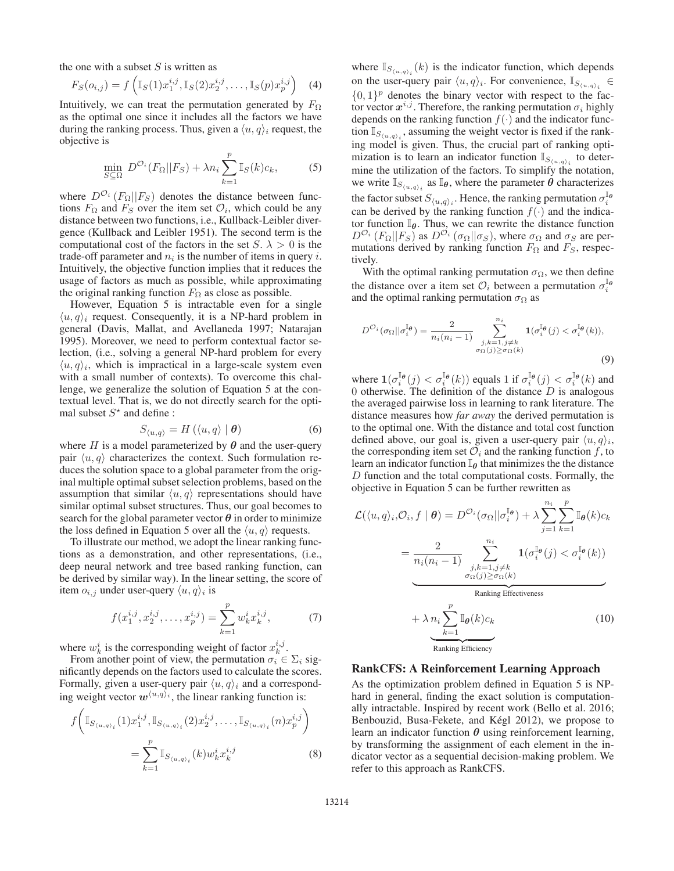the one with a subset  $S$  is written as

$$
F_S(o_{i,j}) = f\left(\mathbb{I}_S(1)x_1^{i,j}, \mathbb{I}_S(2)x_2^{i,j}, \dots, \mathbb{I}_S(p)x_p^{i,j}\right)
$$
 (4)

Intuitively, we can treat the permutation generated by  $F_{\Omega}$ as the optimal one since it includes all the factors we have during the ranking process. Thus, given a  $\langle u, q \rangle_i$  request, the objective is

$$
\min_{S \subseteq \Omega} \ D^{\mathcal{O}_i}(F_\Omega || F_S) + \lambda n_i \sum_{k=1}^p \mathbb{I}_S(k)c_k,\tag{5}
$$

where  $D^{O_i}(F_{\Omega}||F_S)$  denotes the distance between functions  $F_{\Omega}$  and  $F_S$  over the item set  $\mathcal{O}_i$ , which could be any distance between two functions, i.e., Kullback-Leibler divergence (Kullback and Leibler 1951). The second term is the computational cost of the factors in the set  $S \cdot \lambda > 0$  is the trade-off parameter and  $n_i$  is the number of items in query i. Intuitively, the objective function implies that it reduces the usage of factors as much as possible, while approximating the original ranking function  $F_{\Omega}$  as close as possible.

However, Equation 5 is intractable even for a single  $\langle u, q \rangle_i$  request. Consequently, it is a NP-hard problem in general (Davis, Mallat, and Avellaneda 1997; Natarajan 1995). Moreover, we need to perform contextual factor selection, (i.e., solving a general NP-hard problem for every  $\langle u, q \rangle$ <sub>i</sub>, which is impractical in a large-scale system even with a small number of contexts). To overcome this challenge, we generalize the solution of Equation 5 at the contextual level. That is, we do not directly search for the optimal subset  $S^*$  and define :

$$
S_{\langle u,q\rangle} = H\left(\langle u,q\rangle \mid \boldsymbol{\theta}\right) \tag{6}
$$

where  $H$  is a model parameterized by  $\theta$  and the user-query pair  $\langle u, q \rangle$  characterizes the context. Such formulation reduces the solution space to a global parameter from the original multiple optimal subset selection problems, based on the assumption that similar  $\langle u, q \rangle$  representations should have similar optimal subset structures. Thus, our goal becomes to search for the global parameter vector  $\theta$  in order to minimize the loss defined in Equation 5 over all the  $\langle u, q \rangle$  requests.

To illustrate our method, we adopt the linear ranking functions as a demonstration, and other representations, (i.e., deep neural network and tree based ranking function, can be derived by similar way). In the linear setting, the score of item  $o_{i,j}$  under user-query  $\langle u, q \rangle_i$  is

$$
f(x_1^{i,j}, x_2^{i,j}, \dots, x_p^{i,j}) = \sum_{k=1}^p w_k^i x_k^{i,j},\tag{7}
$$

where  $w_k^i$  is the corresponding weight of factor  $x_k^{i,j}$ .

From another point of view, the permutation  $\sigma_i \in \Sigma_i$  significantly depends on the factors used to calculate the scores. Formally, given a user-query pair  $\langle u, q \rangle_i$  and a corresponding weight vector  $w^{\langle u,q \rangle_i}$ , the linear ranking function is:

$$
f\left(\mathbb{I}_{S_{\langle u,q\rangle_i}}(1)x_1^{i,j}, \mathbb{I}_{S_{\langle u,q\rangle_i}}(2)x_2^{i,j}, \dots, \mathbb{I}_{S_{\langle u,q\rangle_i}}(n)x_p^{i,j}\right) = \sum_{k=1}^p \mathbb{I}_{S_{\langle u,q\rangle_i}}(k) w_k^i x_k^{i,j}
$$
(8)

where  $\mathbb{I}_{S_{\langle u,q \rangle_i}}(k)$  is the indicator function, which depends on the user-query pair  $\langle u, q \rangle_i$ . For convenience,  $\mathbb{I}_{S_{\langle u,q \rangle_i}}$  $\{0, 1\}^p$  denotes the binary vector with respect to the factor vector  $x^{i,j}$ . Therefore, the ranking permutation  $\sigma_i$  highly depends on the ranking function  $f(\cdot)$  and the indicator function  $\mathbb{I}_{S_{\langle u,q\rangle_i}}$ , assuming the weight vector is fixed if the ranking model is given. Thus, the crucial part of ranking optimization is to learn an indicator function  $\mathbb{I}_{S_{\langle u,q\rangle_i}}$  to determine the utilization of the factors. To simplify the notation, we write  $\mathbb{I}_{S_{\langle u,q \rangle_i}}$  as  $\mathbb{I}_{\theta}$ , where the parameter  $\theta$  characterizes the factor subset  $S_{\langle u,q\rangle_i}$ . Hence, the ranking permutation  $\sigma_i^{\mathbb{I}_{\theta}}$ can be derived by the ranking function  $f(\cdot)$  and the indicator function I*θ*. Thus, we can rewrite the distance function  $D^{\mathcal{O}_{i}}(F_{\Omega}||F_{S})$  as  $D^{\mathcal{O}_{i}}(\sigma_{\Omega}||\sigma_{S})$ , where  $\sigma_{\Omega}$  and  $\sigma_{S}$  are permutations derived by ranking function  $F_{\Omega}$  and  $F_{S}$ , respectively.

With the optimal ranking permutation  $\sigma_{\Omega}$ , we then define the distance over a item set  $\mathcal{O}_i$  between a permutation  $\sigma_i^{\mathbb{I}_{\theta}}$ and the optimal ranking permutation  $\sigma_{\Omega}$  as

$$
D^{\mathcal{O}_i}(\sigma_{\Omega}||\sigma_i^{\mathbb{I}_{\theta}}) = \frac{2}{n_i(n_i - 1)} \sum_{\substack{j,k=1, j \neq k \\ \sigma_{\Omega}(j) \ge \sigma_{\Omega}(k)}}^{n_i} \mathbf{1}(\sigma_i^{\mathbb{I}_{\theta}}(j) < \sigma_i^{\mathbb{I}_{\theta}}(k)),\tag{9}
$$

where  $\mathbf{1}(\sigma_i^{\mathbb{I}_{\theta}}(j) < \sigma_i^{\mathbb{I}_{\theta}}(k))$  equals 1 if  $\sigma_i^{\mathbb{I}_{\theta}}(j) < \sigma_i^{\mathbb{I}_{\theta}}(k)$  and 0 otherwise. The definition of the distance  $D$  is analogous the averaged pairwise loss in learning to rank literature. The distance measures how *far away* the derived permutation is to the optimal one. With the distance and total cost function defined above, our goal is, given a user-query pair  $\langle u, q \rangle_i$ , the corresponding item set  $\mathcal{O}_i$  and the ranking function f, to learn an indicator function  $\mathbb{I}_{\theta}$  that minimizes the the distance D function and the total computational costs. Formally, the objective in Equation 5 can be further rewritten as

$$
\mathcal{L}(\langle u, q \rangle_i, \mathcal{O}_i, f \mid \boldsymbol{\theta}) = D^{\mathcal{O}_i}(\sigma_{\Omega} || \sigma_i^{\mathbb{I}_{\boldsymbol{\theta}}}) + \lambda \sum_{j=1}^{n_i} \sum_{k=1}^p \mathbb{I}_{\boldsymbol{\theta}}(k) c_k
$$

$$
= \frac{2}{n_i (n_i - 1)} \sum_{\substack{j,k=1, j \neq k \\ \sigma_{\Omega}(j) \ge \sigma_{\Omega}(k)}} \mathbf{1}(\sigma_i^{\mathbb{I}_{\boldsymbol{\theta}}}(j) < \sigma_i^{\mathbb{I}_{\boldsymbol{\theta}}}(k))
$$
Ranking Effects
$$
+ \lambda n_i \sum_{k=1}^p \mathbb{I}_{\boldsymbol{\theta}}(k) c_k
$$
(10)

Ranking Efficiency

## RankCFS: A Reinforcement Learning Approach

As the optimization problem defined in Equation 5 is NPhard in general, finding the exact solution is computationally intractable. Inspired by recent work (Bello et al. 2016; Benbouzid, Busa-Fekete, and Kégl 2012), we propose to learn an indicator function *θ* using reinforcement learning, by transforming the assignment of each element in the indicator vector as a sequential decision-making problem. We refer to this approach as RankCFS.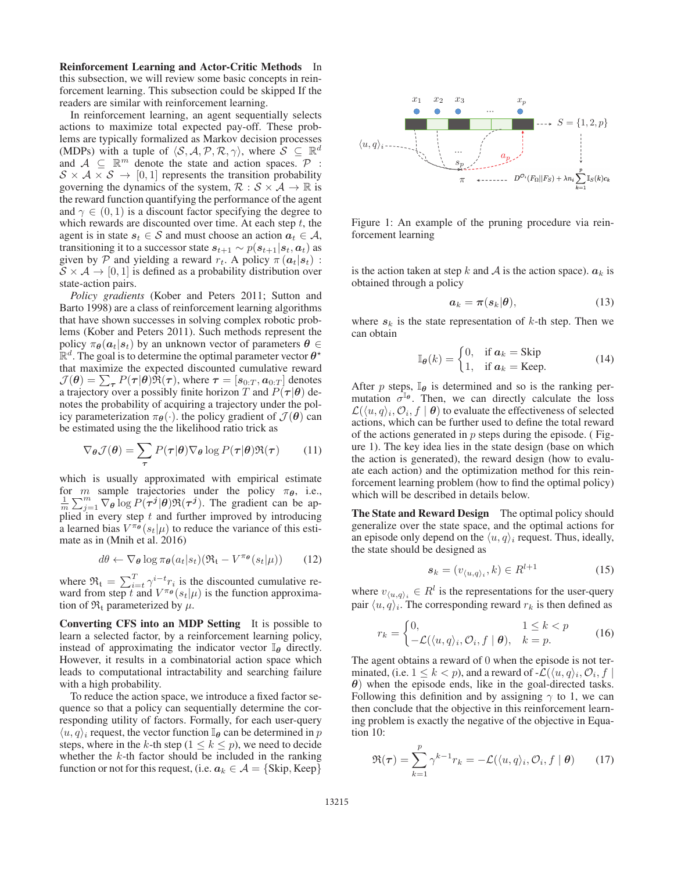Reinforcement Learning and Actor-Critic Methods In this subsection, we will review some basic concepts in reinforcement learning. This subsection could be skipped If the readers are similar with reinforcement learning.

In reinforcement learning, an agent sequentially selects actions to maximize total expected pay-off. These problems are typically formalized as Markov decision processes (MDPs) with a tuple of  $\langle S, A, P, R, \gamma \rangle$ , where  $S \subseteq \mathbb{R}^d$ and  $A \subseteq \mathbb{R}^m$  denote the state and action spaces.  $P$  :  $S \times A \times S \rightarrow [0, 1]$  represents the transition probability governing the dynamics of the system,  $\mathcal{R}: \mathcal{S} \times \mathcal{A} \rightarrow \mathbb{R}$  is the reward function quantifying the performance of the agent and  $\gamma \in (0, 1)$  is a discount factor specifying the degree to which rewards are discounted over time. At each step  $t$ , the agent is in state  $s_t \in S$  and must choose an action  $a_t \in A$ , transitioning it to a successor state  $s_{t+1} \sim p(s_{t+1} | s_t, a_t)$  as given by P and yielding a reward  $r_t$ . A policy  $\pi(\boldsymbol{a}_t|\boldsymbol{s}_t)$ :  $S \times A \rightarrow [0, 1]$  is defined as a probability distribution over state-action pairs.

*Policy gradients* (Kober and Peters 2011; Sutton and Barto 1998) are a class of reinforcement learning algorithms that have shown successes in solving complex robotic problems (Kober and Peters 2011). Such methods represent the policy  $\pi_{\theta}(a_t|s_t)$  by an unknown vector of parameters  $\theta \in$  $\mathbb{R}^d$ . The goal is to determine the optimal parameter vector  $\theta^*$ that maximize the expected discounted cumulative reward  $\mathcal{J}(\boldsymbol{\theta}) = \sum_{\boldsymbol{\tau}} P(\boldsymbol{\tau}|\boldsymbol{\theta}) \Re(\boldsymbol{\tau})$ , where  $\boldsymbol{\tau} = [s_{0:T}, a_{0:T}]$  denotes a trajectory over a possibly finite horizon T and  $P(\tau | \theta)$  denotes the probability of acquiring a trajectory under the policy parameterization  $\pi_{\theta}(\cdot)$ . the policy gradient of  $\mathcal{J}(\theta)$  can be estimated using the the likelihood ratio trick as

$$
\nabla_{\theta} \mathcal{J}(\theta) = \sum_{\tau} P(\tau | \theta) \nabla_{\theta} \log P(\tau | \theta) \mathfrak{R}(\tau) \qquad (11)
$$

which is usually approximated with empirical estimate for *m* sample trajectories under the policy  $\pi_{\theta}$ , i.e.,  $\frac{1}{m} \sum_{j=1}^{m} \nabla_{\theta} \log P(\tau^j | \theta) \Re(\tau^j)$ . The gradient can be applied in every step  $t$  and further improved by introducing a learned bias  $V^{\pi_{\theta}}(s_t|\mu)$  to reduce the variance of this estimate as in (Mnih et al. 2016)

$$
d\theta \leftarrow \nabla_{\theta} \log \pi_{\theta}(a_t|s_t) (\mathfrak{R}_{\mathfrak{t}} - V^{\pi_{\theta}}(s_t|\mu)) \qquad (12)
$$

where  $\Re_t = \sum_{i=t}^{T} \gamma^{i-t} r_i$  is the discounted cumulative reward from step t and  $V^{\pi_{\theta}}(s_t|\mu)$  is the function approximation of  $\mathfrak{R}_t$  parameterized by  $\mu$ .

Converting CFS into an MDP Setting It is possible to learn a selected factor, by a reinforcement learning policy, instead of approximating the indicator vector  $\mathbb{I}_{\theta}$  directly. However, it results in a combinatorial action space which leads to computational intractability and searching failure with a high probability.

To reduce the action space, we introduce a fixed factor sequence so that a policy can sequentially determine the corresponding utility of factors. Formally, for each user-query  $\langle u, q \rangle_i$  request, the vector function  $\mathbb{I}_{\theta}$  can be determined in p steps, where in the k-th step ( $1 \le k \le p$ ), we need to decide whether the  $k$ -th factor should be included in the ranking function or not for this request, (i.e.  $a_k \in \mathcal{A} = \{ \text{skip}, \text{Keep} \}$ 



Figure 1: An example of the pruning procedure via reinforcement learning

is the action taken at step k and A is the action space).  $a_k$  is obtained through a policy

$$
a_k = \pi(s_k|\theta), \tag{13}
$$

where  $s_k$  is the state representation of  $k$ -th step. Then we can obtain

$$
\mathbb{I}_{\theta}(k) = \begin{cases} 0, & \text{if } a_k = \text{skip} \\ 1, & \text{if } a_k = \text{Keep.} \end{cases}
$$
 (14)

After p steps,  $\mathbb{I}_{\theta}$  is determined and so is the ranking permutation  $\sigma^{\mathbb{I}_{\theta}}$ . Then, we can directly calculate the loss  $\mathcal{L}(\langle u, q \rangle_i, \mathcal{O}_i, f \mid \boldsymbol{\theta})$  to evaluate the effectiveness of selected actions, which can be further used to define the total reward of the actions generated in  $p$  steps during the episode. (Figure 1). The key idea lies in the state design (base on which the action is generated), the reward design (how to evaluate each action) and the optimization method for this reinforcement learning problem (how to find the optimal policy) which will be described in details below.

The State and Reward Design The optimal policy should generalize over the state space, and the optimal actions for an episode only depend on the  $\langle u, q \rangle_i$  request. Thus, ideally, the state should be designed as

$$
\mathbf{s}_k = (v_{\langle u, q \rangle_i}, k) \in R^{l+1} \tag{15}
$$

where  $v_{\langle u,q \rangle_i} \in R^l$  is the representations for the user-query pair  $\langle u, q \rangle_i$ . The corresponding reward  $r_k$  is then defined as

$$
r_k = \begin{cases} 0, & 1 \le k < p \\ -\mathcal{L}(\langle u, q \rangle_i, \mathcal{O}_i, f \mid \boldsymbol{\theta}), & k = p. \end{cases}
$$
 (16)

The agent obtains a reward of 0 when the episode is not terminated, (i.e.  $1 \leq k < p$ ), and a reward of - $\mathcal{L}(\langle u, q \rangle_i, \mathcal{O}_i, f \mid \mathcal{O}_i)$ *θ*) when the episode ends, like in the goal-directed tasks. Following this definition and by assigning  $\gamma$  to 1, we can then conclude that the objective in this reinforcement learning problem is exactly the negative of the objective in Equation 10:

$$
\mathfrak{R}(\boldsymbol{\tau}) = \sum_{k=1}^{p} \gamma^{k-1} r_k = -\mathcal{L}(\langle u, q \rangle_i, \mathcal{O}_i, f \mid \boldsymbol{\theta}) \qquad (17)
$$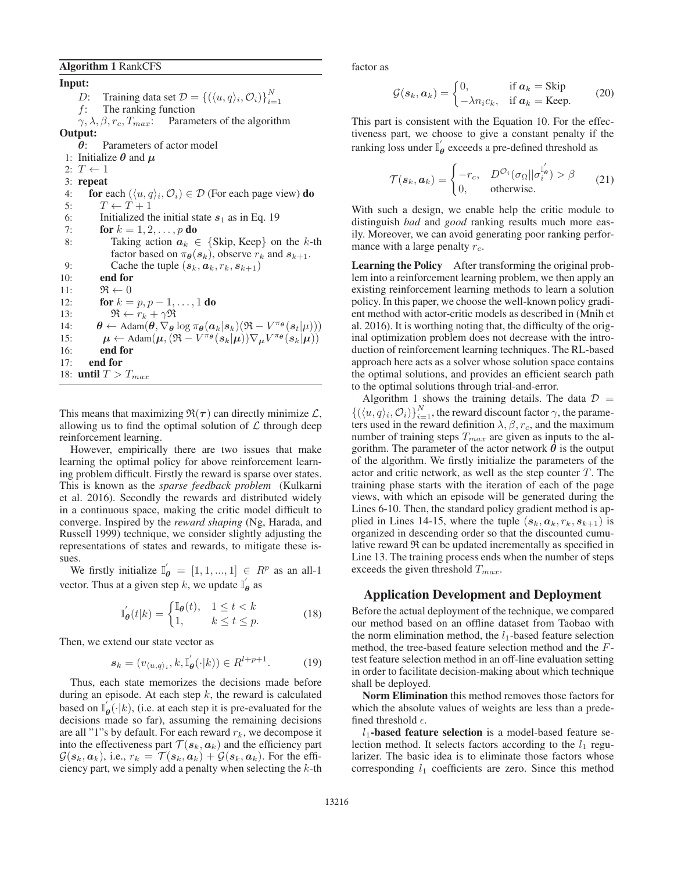### Algorithm 1 RankCFS

Input: *D*: Training data set  $\mathcal{D} = \{(\langle u, q \rangle_i, \mathcal{O}_i)\}_{i=1}^N$  $f$ : The ranking function  $\gamma, \lambda, \beta, r_c, T_{max}$ : Parameters of the algorithm Output: *θ*: Parameters of actor model 1: Initialize  $\theta$  and  $\mu$ 2:  $T \leftarrow 1$ 3: repeat 4: for each  $(\langle u, q \rangle_i, \mathcal{O}_i) \in \mathcal{D}$  (For each page view) do 5:  $T \leftarrow T + 1$ 6: Initialized the initial state  $s_1$  as in Eq. 19<br>7: **for**  $k = 1, 2, ..., p$  **do** for  $k = 1, 2, \ldots, p$  do 8: Taking action  $a_k \in \{ \text{skip}, \text{Keep} \}$  on the k-th factor based on  $\pi_{\theta}(s_k)$ , observe  $r_k$  and  $s_{k+1}$ . 9: Cache the tuple  $(s_k, a_k, r_k, s_{k+1})$ 10: end for 11:  $\Re \leftarrow 0$ 12: **for**  $k = p, p - 1, ..., 1$  **do** 13:  $\mathfrak{R} \leftarrow r_k + \gamma \mathfrak{R}$ 14:  $\theta \leftarrow \text{Adam}(\theta, \nabla_{\theta} \log \pi_{\theta}(a_k | s_k) (\mathfrak{R} - V^{\pi_{\theta}}(s_k|\mu)))$ <br>15:  $\mu \leftarrow \text{Adam}(\mu, (\mathfrak{R} - V^{\pi_{\theta}}(s_k|\mu)) \nabla_{\mu} V^{\pi_{\theta}}(s_k|\mu))$  $\mu \leftarrow \text{Adam}(\mu, (\mathfrak{R} - V^{\pi_{\theta}}(s_k|\mu))\nabla_{\mu}V^{\pi_{\theta}}(s_k|\mu))$ 16: end for 17: end for 18: until  $T > T_{max}$ 

This means that maximizing  $\mathfrak{R}(\tau)$  can directly minimize  $\mathcal{L}$ , allowing us to find the optimal solution of  $\mathcal L$  through deep reinforcement learning.

However, empirically there are two issues that make learning the optimal policy for above reinforcement learning problem difficult. Firstly the reward is sparse over states. This is known as the *sparse feedback problem* (Kulkarni et al. 2016). Secondly the rewards ard distributed widely in a continuous space, making the critic model difficult to converge. Inspired by the *reward shaping* (Ng, Harada, and Russell 1999) technique, we consider slightly adjusting the representations of states and rewards, to mitigate these issues.

We firstly initialize  $\mathbb{I}'_{\theta} = [1, 1, ..., 1] \in \mathbb{R}^p$  as an all-1 vector. Thus at a given step k, we update  $\mathbb{I}'_{\theta}$  as

$$
\mathbb{I}_{\boldsymbol{\theta}}'(t|k) = \begin{cases} \mathbb{I}_{\boldsymbol{\theta}}(t), & 1 \le t < k \\ 1, & k \le t \le p. \end{cases} \tag{18}
$$

Then, we extend our state vector as

$$
\mathbf{s}_k = (v_{\langle u, q \rangle_i}, k, \mathbb{I}_{\boldsymbol{\theta}}'(\cdot | k)) \in R^{l+p+1}.
$$
 (19)

Thus, each state memorizes the decisions made before during an episode. At each step  $k$ , the reward is calculated based on  $\mathbb{I}_{\theta}'(\cdot|k)$ , (i.e. at each step it is pre-evaluated for the decisions made so far), assuming the remaining decisions are all "1"s by default. For each reward  $r_k$ , we decompose it into the effectiveness part  $\mathcal{T}(\mathbf{s}_k, \mathbf{a}_k)$  and the efficiency part  $\mathcal{G}(\boldsymbol{s}_k, \boldsymbol{a}_k)$ , i.e.,  $r_k = \mathcal{T}(\boldsymbol{s}_k, \boldsymbol{a}_k) + \mathcal{G}(\boldsymbol{s}_k, \boldsymbol{a}_k)$ . For the efficiency part, we simply add a penalty when selecting the  $k$ -th

factor as

$$
\mathcal{G}(s_k, a_k) = \begin{cases} 0, & \text{if } a_k = \text{Skip} \\ -\lambda n_i c_k, & \text{if } a_k = \text{Keep.} \end{cases}
$$
 (20)

This part is consistent with the Equation 10. For the effectiveness part, we choose to give a constant penalty if the ranking loss under  $\mathbb{I}_{\theta}^{'}$  exceeds a pre-defined threshold as

$$
\mathcal{T}(\boldsymbol{s}_k, \boldsymbol{a}_k) = \begin{cases}\n-r_c, & D^{\mathcal{O}_i}(\sigma_{\Omega} || \sigma_i^{\mathbb{I}_{\boldsymbol{\theta}}'}) > \beta \\
0, & \text{otherwise.} \n\end{cases}
$$
\n(21)

With such a design, we enable help the critic module to distinguish *bad* and *good* ranking results much more easily. Moreover, we can avoid generating poor ranking performance with a large penalty  $r_c$ .

Learning the Policy After transforming the original problem into a reinforcement learning problem, we then apply an existing reinforcement learning methods to learn a solution policy. In this paper, we choose the well-known policy gradient method with actor-critic models as described in (Mnih et al. 2016). It is worthing noting that, the difficulty of the original optimization problem does not decrease with the introduction of reinforcement learning techniques. The RL-based approach here acts as a solver whose solution space contains the optimal solutions, and provides an efficient search path to the optimal solutions through trial-and-error.

Algorithm 1 shows the training details. The data  $\mathcal{D}$  =  $\{(\langle u, q \rangle_i, O_i)\}_{i=1}^N$ , the reward discount factor  $\gamma$ , the parameters used in the reward definition  $\lambda$ ,  $\beta$ ,  $r_c$ , and the maximum number of training steps  $T_{max}$  are given as inputs to the algorithm. The parameter of the actor network  $\theta$  is the output of the algorithm. We firstly initialize the parameters of the actor and critic network, as well as the step counter  $T$ . The training phase starts with the iteration of each of the page views, with which an episode will be generated during the Lines 6-10. Then, the standard policy gradient method is applied in Lines 14-15, where the tuple  $(s_k, a_k, r_k, s_{k+1})$  is organized in descending order so that the discounted cumulative reward  $\Re$  can be updated incrementally as specified in Line 13. The training process ends when the number of steps exceeds the given threshold  $T_{max}$ .

#### Application Development and Deployment

Before the actual deployment of the technique, we compared our method based on an offline dataset from Taobao with the norm elimination method, the  $l_1$ -based feature selection method, the tree-based feature selection method and the Ftest feature selection method in an off-line evaluation setting in order to facilitate decision-making about which technique shall be deployed.

Norm Elimination this method removes those factors for which the absolute values of weights are less than a predefined threshold  $\epsilon$ .

 $l_1$ -based feature selection is a model-based feature selection method. It selects factors according to the  $l_1$  regularizer. The basic idea is to eliminate those factors whose corresponding  $l_1$  coefficients are zero. Since this method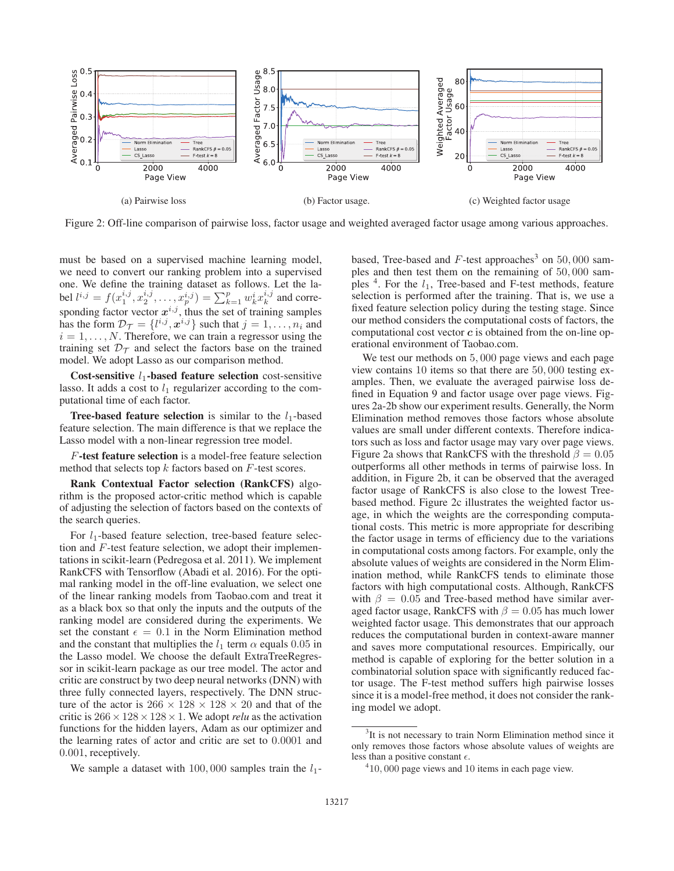

Figure 2: Off-line comparison of pairwise loss, factor usage and weighted averaged factor usage among various approaches.

must be based on a supervised machine learning model, we need to convert our ranking problem into a supervised one. We define the training dataset as follows. Let the label  $l^{i,j} = f(x_1^{i,j}, x_2^{i,j}, \dots, x_p^{i,j}) = \sum_{k=1}^p w_k^i x_k^{i,j}$  and corresponding factor vector  $x^{i,j}$ , thus the set of training samples has the form  $\mathcal{D}_{\mathcal{T}} = \{l^{i,j}, \mathbf{x}^{i,j}\}\$  such that  $j = 1, \ldots, n_i$  and  $i = 1, \ldots, N$ . Therefore, we can train a regressor using the training set  $\mathcal{D}_{\mathcal{T}}$  and select the factors base on the trained model. We adopt Lasso as our comparison method.

Cost-sensitive  $l_1$ -based feature selection cost-sensitive lasso. It adds a cost to  $l_1$  regularizer according to the computational time of each factor.

**Tree-based feature selection** is similar to the  $l_1$ -based feature selection. The main difference is that we replace the Lasso model with a non-linear regression tree model.

F-test feature selection is a model-free feature selection method that selects top  $k$  factors based on  $F$ -test scores.

Rank Contextual Factor selection (RankCFS) algorithm is the proposed actor-critic method which is capable of adjusting the selection of factors based on the contexts of the search queries.

For  $l_1$ -based feature selection, tree-based feature selection and F-test feature selection, we adopt their implementations in scikit-learn (Pedregosa et al. 2011). We implement RankCFS with Tensorflow (Abadi et al. 2016). For the optimal ranking model in the off-line evaluation, we select one of the linear ranking models from Taobao.com and treat it as a black box so that only the inputs and the outputs of the ranking model are considered during the experiments. We set the constant  $\epsilon = 0.1$  in the Norm Elimination method and the constant that multiplies the  $l_1$  term  $\alpha$  equals 0.05 in the Lasso model. We choose the default ExtraTreeRegressor in scikit-learn package as our tree model. The actor and critic are construct by two deep neural networks (DNN) with three fully connected layers, respectively. The DNN structure of the actor is  $266 \times 128 \times 128 \times 20$  and that of the critic is  $266 \times 128 \times 128 \times 1$ . We adopt *relu* as the activation functions for the hidden layers, Adam as our optimizer and the learning rates of actor and critic are set to 0.0001 and 0.001, receptively.

We sample a dataset with 100,000 samples train the  $l_1$ -

based, Tree-based and  $F$ -test approaches<sup>3</sup> on 50,000 samples and then test them on the remaining of 50, 000 samples  $4$ . For the  $l_1$ , Tree-based and F-test methods, feature selection is performed after the training. That is, we use a fixed feature selection policy during the testing stage. Since our method considers the computational costs of factors, the computational cost vector *c* is obtained from the on-line operational environment of Taobao.com.

We test our methods on 5, 000 page views and each page view contains 10 items so that there are 50, 000 testing examples. Then, we evaluate the averaged pairwise loss defined in Equation 9 and factor usage over page views. Figures 2a-2b show our experiment results. Generally, the Norm Elimination method removes those factors whose absolute values are small under different contexts. Therefore indicators such as loss and factor usage may vary over page views. Figure 2a shows that RankCFS with the threshold  $\beta = 0.05$ outperforms all other methods in terms of pairwise loss. In addition, in Figure 2b, it can be observed that the averaged factor usage of RankCFS is also close to the lowest Treebased method. Figure 2c illustrates the weighted factor usage, in which the weights are the corresponding computational costs. This metric is more appropriate for describing the factor usage in terms of efficiency due to the variations in computational costs among factors. For example, only the absolute values of weights are considered in the Norm Elimination method, while RankCFS tends to eliminate those factors with high computational costs. Although, RankCFS with  $\beta = 0.05$  and Tree-based method have similar averaged factor usage, RankCFS with  $\beta = 0.05$  has much lower weighted factor usage. This demonstrates that our approach reduces the computational burden in context-aware manner and saves more computational resources. Empirically, our method is capable of exploring for the better solution in a combinatorial solution space with significantly reduced factor usage. The F-test method suffers high pairwise losses since it is a model-free method, it does not consider the ranking model we adopt.

<sup>&</sup>lt;sup>3</sup>It is not necessary to train Norm Elimination method since it only removes those factors whose absolute values of weights are less than a positive constant  $\epsilon$ .

<sup>&</sup>lt;sup>4</sup>10,000 page views and 10 items in each page view.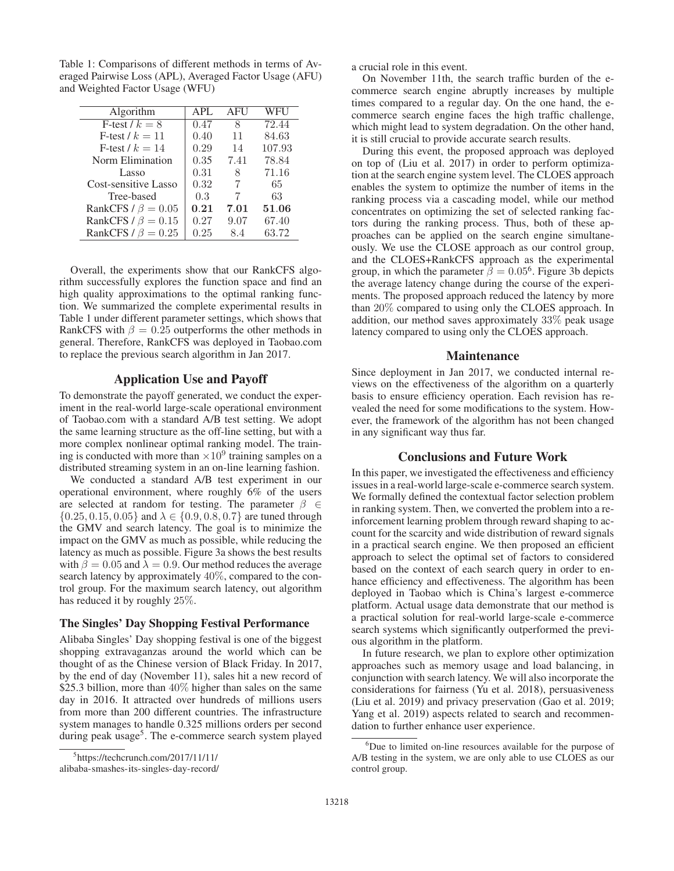Table 1: Comparisons of different methods in terms of Averaged Pairwise Loss (APL), Averaged Factor Usage (AFU) and Weighted Factor Usage (WFU)

| Algorithm                | <b>APL</b> | AFU  | <b>WFU</b> |
|--------------------------|------------|------|------------|
| F-test $/k = 8$          | 0.47       | 8    | 72.44      |
| F-test $/k = 11$         | 0.40       | 11   | 84.63      |
| F-test $/k = 14$         | 0.29       | 14   | 107.93     |
| Norm Elimination         | 0.35       | 7.41 | 78.84      |
| Lasso                    | 0.31       | 8    | 71.16      |
| Cost-sensitive Lasso     | 0.32       | 7    | 65         |
| Tree-based               | 0.3        | 7    | 63         |
| RankCFS / $\beta = 0.05$ | 0.21       | 7.01 | 51.06      |
| RankCFS / $\beta = 0.15$ | 0.27       | 9.07 | 67.40      |
| RankCFS / $\beta = 0.25$ | 0.25       | 8.4  | 63.72      |

Overall, the experiments show that our RankCFS algorithm successfully explores the function space and find an high quality approximations to the optimal ranking function. We summarized the complete experimental results in Table 1 under different parameter settings, which shows that RankCFS with  $\beta = 0.25$  outperforms the other methods in general. Therefore, RankCFS was deployed in Taobao.com to replace the previous search algorithm in Jan 2017.

## Application Use and Payoff

To demonstrate the payoff generated, we conduct the experiment in the real-world large-scale operational environment of Taobao.com with a standard A/B test setting. We adopt the same learning structure as the off-line setting, but with a more complex nonlinear optimal ranking model. The training is conducted with more than  $\times 10^9$  training samples on a distributed streaming system in an on-line learning fashion.

We conducted a standard A/B test experiment in our operational environment, where roughly 6% of the users are selected at random for testing. The parameter  $\beta \in$  $\{0.25, 0.15, 0.05\}$  and  $\lambda \in \{0.9, 0.8, 0.7\}$  are tuned through the GMV and search latency. The goal is to minimize the impact on the GMV as much as possible, while reducing the latency as much as possible. Figure 3a shows the best results with  $\beta = 0.05$  and  $\lambda = 0.9$ . Our method reduces the average search latency by approximately 40%, compared to the control group. For the maximum search latency, out algorithm has reduced it by roughly 25%.

## The Singles' Day Shopping Festival Performance

Alibaba Singles' Day shopping festival is one of the biggest shopping extravaganzas around the world which can be thought of as the Chinese version of Black Friday. In 2017, by the end of day (November 11), sales hit a new record of \$25.3 billion, more than  $40\%$  higher than sales on the same day in 2016. It attracted over hundreds of millions users from more than 200 different countries. The infrastructure system manages to handle 0.325 millions orders per second during peak usage<sup>5</sup>. The e-commerce search system played

alibaba-smashes-its-singles-day-record/

a crucial role in this event.

On November 11th, the search traffic burden of the ecommerce search engine abruptly increases by multiple times compared to a regular day. On the one hand, the ecommerce search engine faces the high traffic challenge, which might lead to system degradation. On the other hand, it is still crucial to provide accurate search results.

During this event, the proposed approach was deployed on top of (Liu et al. 2017) in order to perform optimization at the search engine system level. The CLOES approach enables the system to optimize the number of items in the ranking process via a cascading model, while our method concentrates on optimizing the set of selected ranking factors during the ranking process. Thus, both of these approaches can be applied on the search engine simultaneously. We use the CLOSE approach as our control group, and the CLOES+RankCFS approach as the experimental group, in which the parameter  $\beta = 0.05^6$ . Figure 3b depicts the average latency change during the course of the experiments. The proposed approach reduced the latency by more than 20% compared to using only the CLOES approach. In addition, our method saves approximately 33% peak usage latency compared to using only the CLOES approach.

## **Maintenance**

Since deployment in Jan 2017, we conducted internal reviews on the effectiveness of the algorithm on a quarterly basis to ensure efficiency operation. Each revision has revealed the need for some modifications to the system. However, the framework of the algorithm has not been changed in any significant way thus far.

## Conclusions and Future Work

In this paper, we investigated the effectiveness and efficiency issues in a real-world large-scale e-commerce search system. We formally defined the contextual factor selection problem in ranking system. Then, we converted the problem into a reinforcement learning problem through reward shaping to account for the scarcity and wide distribution of reward signals in a practical search engine. We then proposed an efficient approach to select the optimal set of factors to considered based on the context of each search query in order to enhance efficiency and effectiveness. The algorithm has been deployed in Taobao which is China's largest e-commerce platform. Actual usage data demonstrate that our method is a practical solution for real-world large-scale e-commerce search systems which significantly outperformed the previous algorithm in the platform.

In future research, we plan to explore other optimization approaches such as memory usage and load balancing, in conjunction with search latency. We will also incorporate the considerations for fairness (Yu et al. 2018), persuasiveness (Liu et al. 2019) and privacy preservation (Gao et al. 2019; Yang et al. 2019) aspects related to search and recommendation to further enhance user experience.

<sup>5</sup> https://techcrunch.com/2017/11/11/

<sup>&</sup>lt;sup>6</sup>Due to limited on-line resources available for the purpose of A/B testing in the system, we are only able to use CLOES as our control group.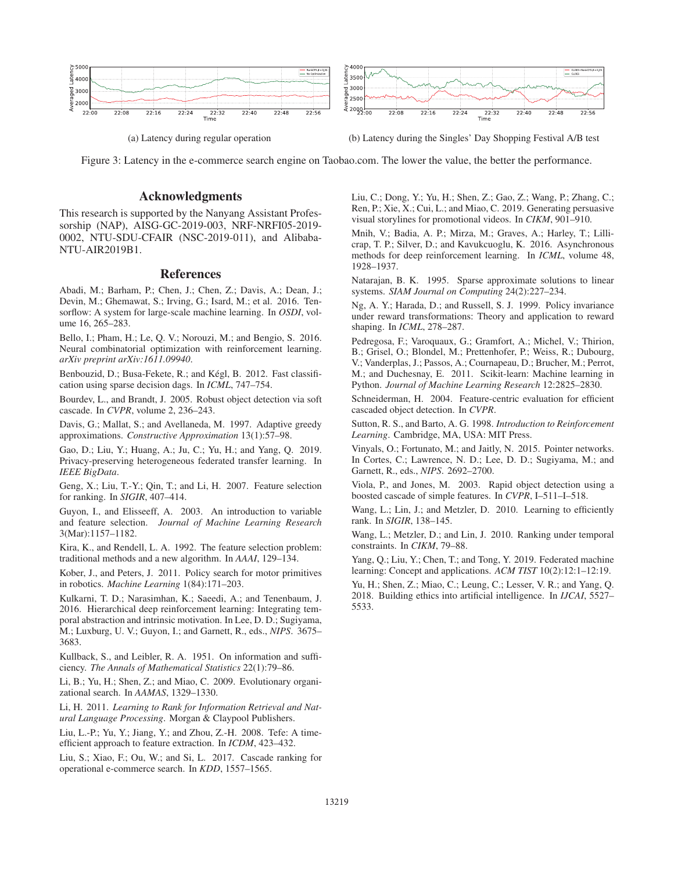

(a) Latency during regular operation (b) Latency during the Singles' Day Shopping Festival A/B test

Figure 3: Latency in the e-commerce search engine on Taobao.com. The lower the value, the better the performance.

## Acknowledgments

This research is supported by the Nanyang Assistant Professorship (NAP), AISG-GC-2019-003, NRF-NRFI05-2019- 0002, NTU-SDU-CFAIR (NSC-2019-011), and Alibaba-NTU-AIR2019B1.

## References

Abadi, M.; Barham, P.; Chen, J.; Chen, Z.; Davis, A.; Dean, J.; Devin, M.; Ghemawat, S.; Irving, G.; Isard, M.; et al. 2016. Tensorflow: A system for large-scale machine learning. In *OSDI*, volume 16, 265–283.

Bello, I.; Pham, H.; Le, Q. V.; Norouzi, M.; and Bengio, S. 2016. Neural combinatorial optimization with reinforcement learning. *arXiv preprint arXiv:1611.09940*.

Benbouzid, D.; Busa-Fekete, R.; and Kégl, B. 2012. Fast classification using sparse decision dags. In *ICML*, 747–754.

Bourdev, L., and Brandt, J. 2005. Robust object detection via soft cascade. In *CVPR*, volume 2, 236–243.

Davis, G.; Mallat, S.; and Avellaneda, M. 1997. Adaptive greedy approximations. *Constructive Approximation* 13(1):57–98.

Gao, D.; Liu, Y.; Huang, A.; Ju, C.; Yu, H.; and Yang, Q. 2019. Privacy-preserving heterogeneous federated transfer learning. In *IEEE BigData*.

Geng, X.; Liu, T.-Y.; Qin, T.; and Li, H. 2007. Feature selection for ranking. In *SIGIR*, 407–414.

Guyon, I., and Elisseeff, A. 2003. An introduction to variable and feature selection. *Journal of Machine Learning Research* 3(Mar):1157–1182.

Kira, K., and Rendell, L. A. 1992. The feature selection problem: traditional methods and a new algorithm. In *AAAI*, 129–134.

Kober, J., and Peters, J. 2011. Policy search for motor primitives in robotics. *Machine Learning* 1(84):171–203.

Kulkarni, T. D.; Narasimhan, K.; Saeedi, A.; and Tenenbaum, J. 2016. Hierarchical deep reinforcement learning: Integrating temporal abstraction and intrinsic motivation. In Lee, D. D.; Sugiyama, M.; Luxburg, U. V.; Guyon, I.; and Garnett, R., eds., *NIPS*. 3675– 3683.

Kullback, S., and Leibler, R. A. 1951. On information and sufficiency. *The Annals of Mathematical Statistics* 22(1):79–86.

Li, B.; Yu, H.; Shen, Z.; and Miao, C. 2009. Evolutionary organizational search. In *AAMAS*, 1329–1330.

Li, H. 2011. *Learning to Rank for Information Retrieval and Natural Language Processing*. Morgan & Claypool Publishers.

Liu, L.-P.; Yu, Y.; Jiang, Y.; and Zhou, Z.-H. 2008. Tefe: A timeefficient approach to feature extraction. In *ICDM*, 423–432.

Liu, S.; Xiao, F.; Ou, W.; and Si, L. 2017. Cascade ranking for operational e-commerce search. In *KDD*, 1557–1565.

Liu, C.; Dong, Y.; Yu, H.; Shen, Z.; Gao, Z.; Wang, P.; Zhang, C.; Ren, P.; Xie, X.; Cui, L.; and Miao, C. 2019. Generating persuasive visual storylines for promotional videos. In *CIKM*, 901–910.

Mnih, V.; Badia, A. P.; Mirza, M.; Graves, A.; Harley, T.; Lillicrap, T. P.; Silver, D.; and Kavukcuoglu, K. 2016. Asynchronous methods for deep reinforcement learning. In *ICML*, volume 48, 1928–1937.

Natarajan, B. K. 1995. Sparse approximate solutions to linear systems. *SIAM Journal on Computing* 24(2):227–234.

Ng, A. Y.; Harada, D.; and Russell, S. J. 1999. Policy invariance under reward transformations: Theory and application to reward shaping. In *ICML*, 278–287.

Pedregosa, F.; Varoquaux, G.; Gramfort, A.; Michel, V.; Thirion, B.; Grisel, O.; Blondel, M.; Prettenhofer, P.; Weiss, R.; Dubourg, V.; Vanderplas, J.; Passos, A.; Cournapeau, D.; Brucher, M.; Perrot, M.; and Duchesnay, E. 2011. Scikit-learn: Machine learning in Python. *Journal of Machine Learning Research* 12:2825–2830.

Schneiderman, H. 2004. Feature-centric evaluation for efficient cascaded object detection. In *CVPR*.

Sutton, R. S., and Barto, A. G. 1998. *Introduction to Reinforcement Learning*. Cambridge, MA, USA: MIT Press.

Vinyals, O.; Fortunato, M.; and Jaitly, N. 2015. Pointer networks. In Cortes, C.; Lawrence, N. D.; Lee, D. D.; Sugiyama, M.; and Garnett, R., eds., *NIPS*. 2692–2700.

Viola, P., and Jones, M. 2003. Rapid object detection using a boosted cascade of simple features. In *CVPR*, I–511–I–518.

Wang, L.; Lin, J.; and Metzler, D. 2010. Learning to efficiently rank. In *SIGIR*, 138–145.

Wang, L.; Metzler, D.; and Lin, J. 2010. Ranking under temporal constraints. In *CIKM*, 79–88.

Yang, Q.; Liu, Y.; Chen, T.; and Tong, Y. 2019. Federated machine learning: Concept and applications. *ACM TIST* 10(2):12:1–12:19.

Yu, H.; Shen, Z.; Miao, C.; Leung, C.; Lesser, V. R.; and Yang, Q. 2018. Building ethics into artificial intelligence. In *IJCAI*, 5527– 5533.